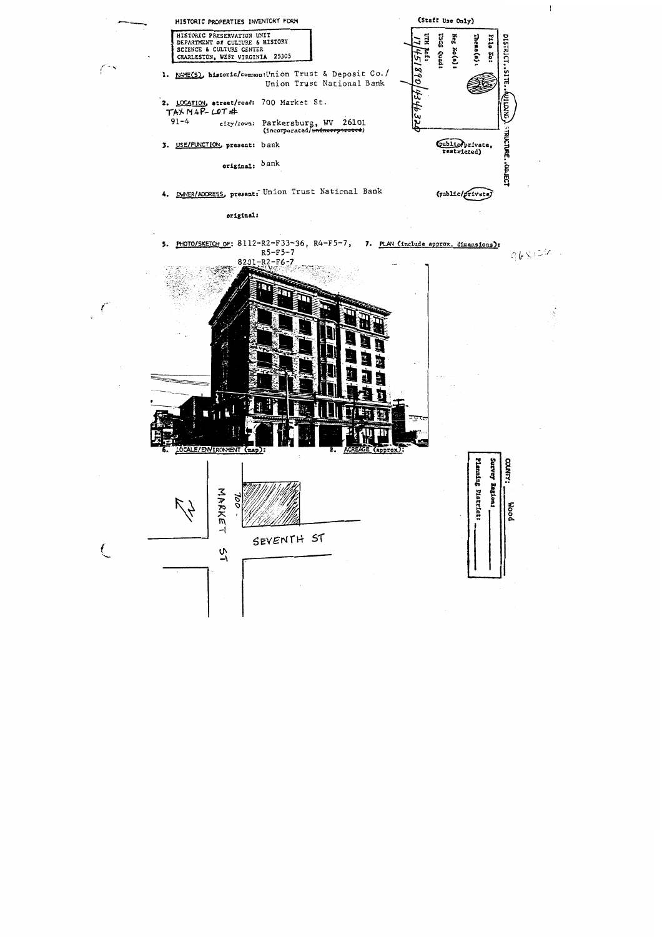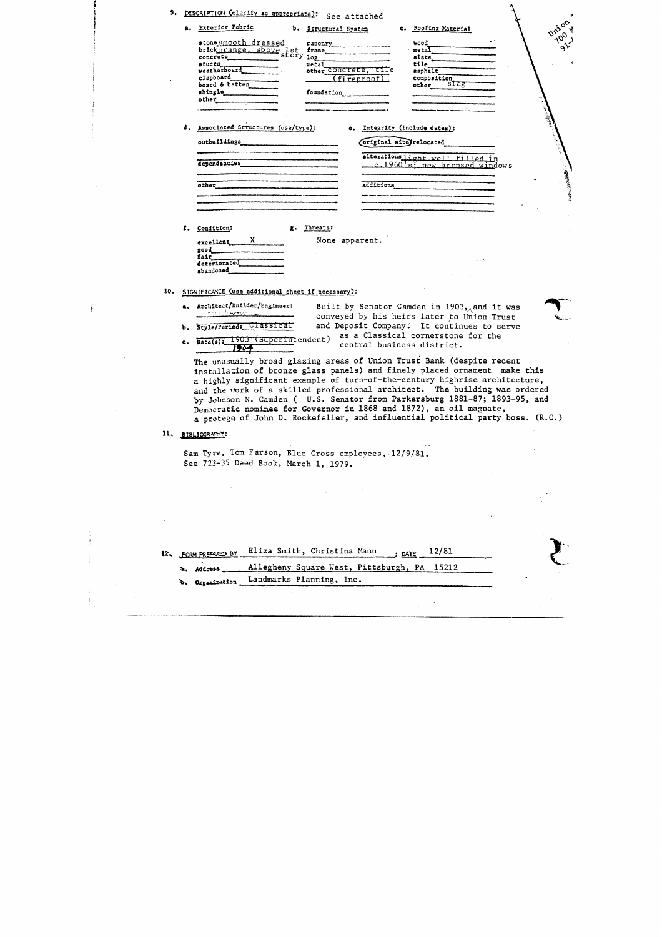| a. Exterior Fabric                                                                                                        | Union<br>b. Structural System<br>c. Roofing Material<br>700 %                                                                                              |
|---------------------------------------------------------------------------------------------------------------------------|------------------------------------------------------------------------------------------------------------------------------------------------------------|
| stone smooth dressed<br>stone Mmooth uresses<br>stucco<br>weatherboard<br>clapboard<br>board & batten<br>shingle<br>other | vood<br>$\mathbf{e}$<br>metal<br>frame<br>slate<br>tile l<br>metal<br>meral<br>other_CONCTELE, tile<br>asphalt<br>composition<br>(fireproof)<br>foundation |
| d. Associated Structures (use/type):                                                                                      | e. Integrity (include dates):                                                                                                                              |
|                                                                                                                           | Coriginal site relocated                                                                                                                                   |
|                                                                                                                           | alterationslight well filled in                                                                                                                            |
| dependencies                                                                                                              | c. 1960's, new bronzed windows                                                                                                                             |
|                                                                                                                           | additions                                                                                                                                                  |
|                                                                                                                           |                                                                                                                                                            |
| other                                                                                                                     |                                                                                                                                                            |
|                                                                                                                           |                                                                                                                                                            |
|                                                                                                                           |                                                                                                                                                            |
| f. Condition:                                                                                                             | g. Threats:                                                                                                                                                |
| $excellet$ $X$                                                                                                            | None apparent.                                                                                                                                             |
| fair                                                                                                                      |                                                                                                                                                            |
| deteriorated<br>abandoned                                                                                                 |                                                                                                                                                            |
|                                                                                                                           |                                                                                                                                                            |
| SIGNIFICANCE (use additional sheet if necessary):                                                                         |                                                                                                                                                            |

**b.** Style/Period: Classical and Deposit Company: It continues to serve  $\frac{1903}{1903}$  (Superintendent) as a Classical cornerstone for the central business district. central business district.

 $\sim$  .



e. **Date(9):** 1903 (Superintendent)

The unusually broad glazing areas of Union Trust Bank (despite recent installation of bronze glass panels) and finely placed ornament make this a highly significant example of turn-of-the-century highrise architecture, and the vork of a skilled professional architect. The building was ordered by Jahnson N. Camden ( U.S. Senator from Parkersburg 1881-87; 1893-95, and Demozrntic nominee for Governor in 1868 and 1872), an oil magnate, a protego of John D. Rockefeller, and influential political party boss. (R.C.)

11. BIBLIOGRAPHY:

Sam Tyre, Tom Farson, Blue Cross employees, 12/9/81. See **723-35** Deed Book, March 1, 1979.

| 12. FORM PREPARED BY | Eliza Smith, Christina Mann<br>; <u>date</u> $12/81$ |
|----------------------|------------------------------------------------------|
| a. Address           | Allegheny Square West, Pittsburgh, PA 15212          |
| b. Organization      | Landmarks Planning, Inc.                             |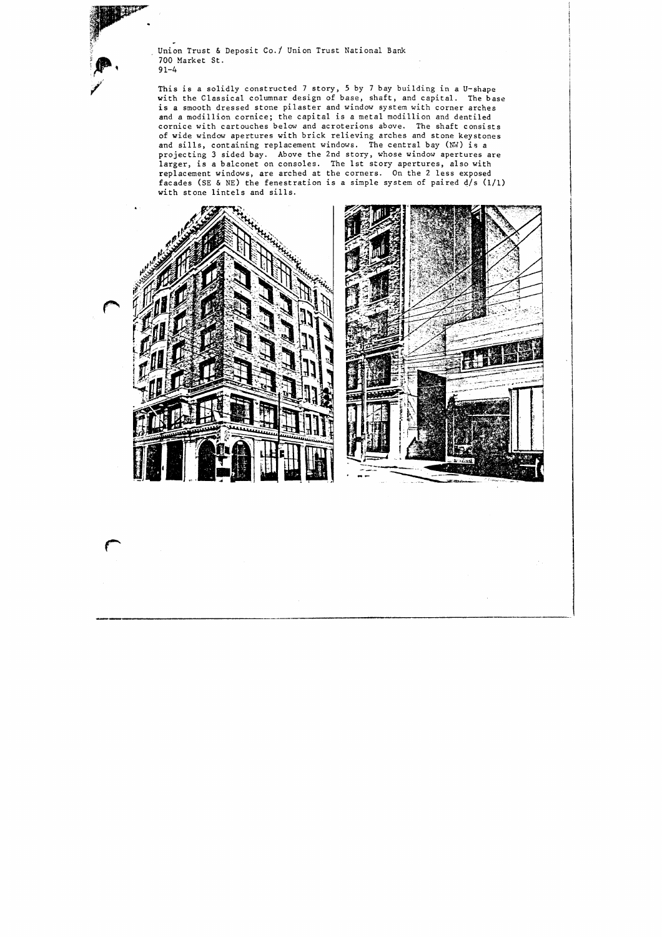Union Trust & Deposit Co./ Union Trust National Bank 700 Market St. 9 1-4

This is a solidly constructed 7 story, **5** by **7** bay building in a U-shape with the Classical columnar design of base, shaft, and capital. The base is a smooth dressed stone pilaster and window system with corner arches and a modillion cornice; the capital is a metal modillion and dentiled cornice with cartouches below and acroterions above. The shaft consists of wide window apertures with brick relieving arches and stone keystones and sills, containing replacement windows. The central bay **(NV)** is a projecting **3** sided bay. Above the 2nd story, whose window apertures are larger, is a balconet on consoles. The 1st story apertures, also with replacement windows, are arched at the corners. On the 2 less exposed facades (SE & NE) the fenestration is a simple system of paired d/s (1/1) with stone lintels and sills.